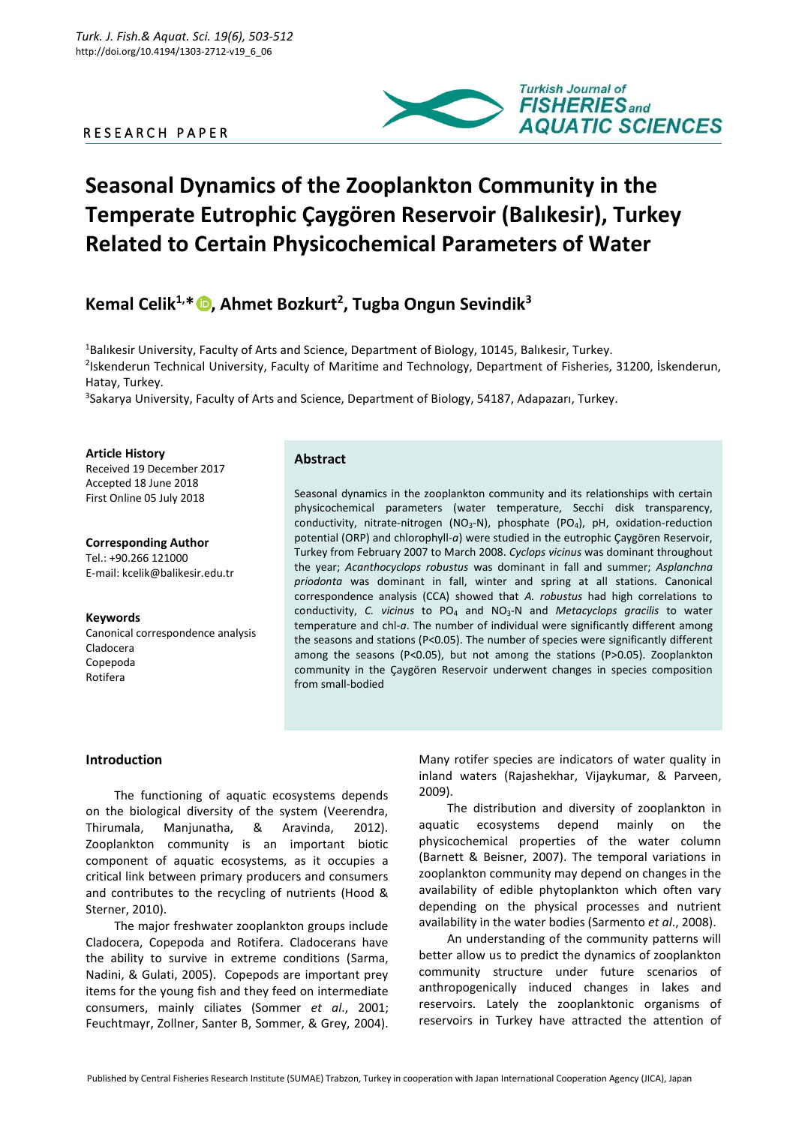# R E S E A R C H P A P E R



# **Seasonal Dynamics of the Zooplankton Community in the Temperate Eutrophic Çaygören Reservoir (Balıkesir), Turkey Related to Certain Physicochemical Parameters of Water**

# **Kemal Celik1,\* [,](https://orcid.org/0000-0002-6931-2681) Ahmet Bozkurt<sup>2</sup> , Tugba Ongun Sevindik<sup>3</sup>**

<sup>1</sup>Balıkesir University, Faculty of Arts and Science, Department of Biology, 10145, Balıkesir, Turkey. 2 Iskenderun Technical University, Faculty of Maritime and Technology, Department of Fisheries, 31200, İskenderun, Hatay, Turkey.

3 Sakarya University, Faculty of Arts and Science, Department of Biology, 54187, Adapazarı, Turkey.

**Article History** Received 19 December 2017 Accepted 18 June 2018 First Online 05 July 2018

**Corresponding Author** Tel.: +90.266 121000 E-mail: kcelik@balikesir.edu.tr

**Keywords** Canonical correspondence analysis Cladocera Copepoda Rotifera

## **Abstract**

Seasonal dynamics in the zooplankton community and its relationships with certain physicochemical parameters (water temperature, Secchi disk transparency, conductivity, nitrate-nitrogen (NO<sub>3</sub>-N), phosphate (PO<sub>4</sub>), pH, oxidation-reduction potential (ORP) and chlorophyll-*a*) were studied in the eutrophic Çaygören Reservoir, Turkey from February 2007 to March 2008. *Cyclops vicinus* was dominant throughout the year; *Acanthocyclops robustus* was dominant in fall and summer; *Asplanchna priodonta* was dominant in fall, winter and spring at all stations. Canonical correspondence analysis (CCA) showed that *A. robustus* had high correlations to conductivity, *C. vicinus* to PO<sup>4</sup> and NO3-N and *Metacyclops gracilis* to water temperature and chl-*a*. The number of individual were significantly different among the seasons and stations (P<0.05). The number of species were significantly different among the seasons (P<0.05), but not among the stations (P>0.05). Zooplankton community in the Çaygören Reservoir underwent changes in species composition from small-bodied

# **Introduction**

The functioning of aquatic ecosystems depends on the biological diversity of the system (Veerendra, Thirumala, Manjunatha, & Aravinda, 2012). Zooplankton community is an important biotic component of aquatic ecosystems, as it occupies a critical link between primary producers and consumers and contributes to the recycling of nutrients (Hood & Sterner, 2010).

The major freshwater zooplankton groups include Cladocera, Copepoda and Rotifera. Cladocerans have the ability to survive in extreme conditions (Sarma, Nadini, & Gulati, 2005). Copepods are important prey items for the young fish and they feed on intermediate consumers, mainly ciliates (Sommer *et al*., 2001; Feuchtmayr, Zollner, Santer B, Sommer, & Grey, 2004).

Many rotifer species are indicators of water quality in inland waters (Rajashekhar, Vijaykumar, & Parveen, 2009).

The distribution and diversity of zooplankton in aquatic ecosystems depend mainly on the physicochemical properties of the water column (Barnett & Beisner, 2007). The temporal variations in zooplankton community may depend on changes in the availability of edible phytoplankton which often vary depending on the physical processes and nutrient availability in the water bodies (Sarmento *et al*., 2008).

An understanding of the community patterns will better allow us to predict the dynamics of zooplankton community structure under future scenarios of anthropogenically induced changes in lakes and reservoirs. Lately the zooplanktonic organisms of reservoirs in Turkey have attracted the attention of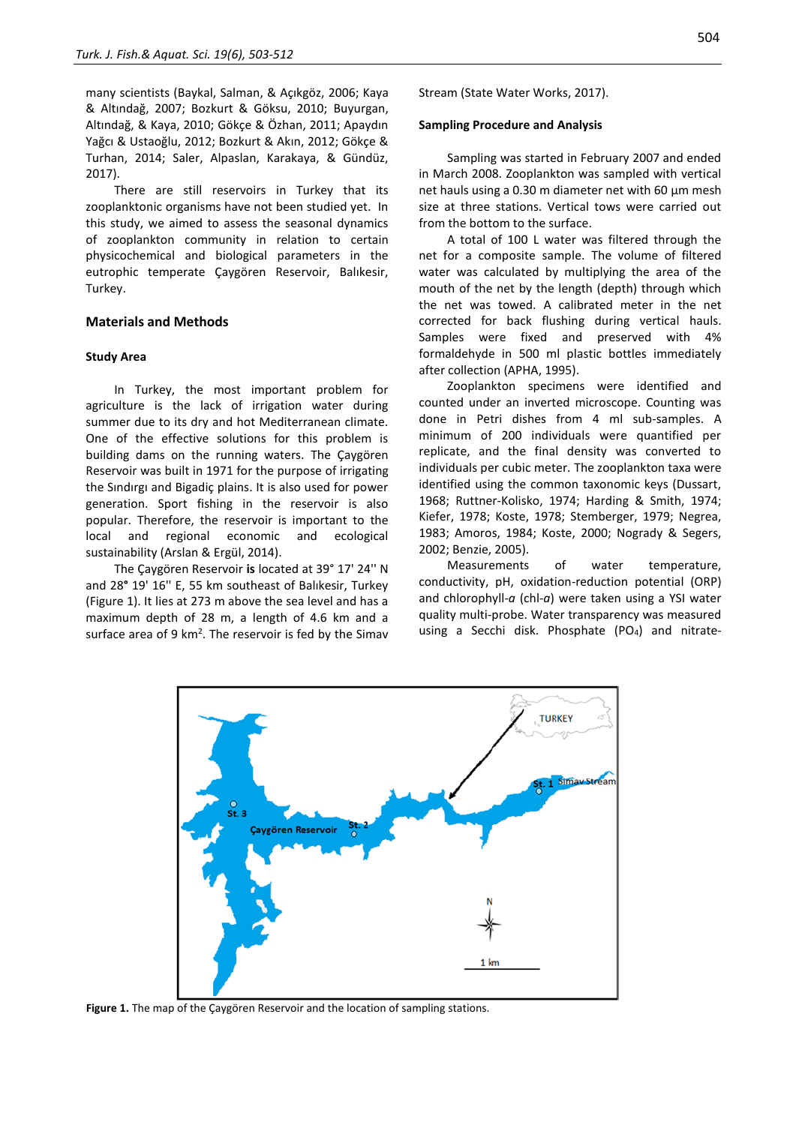many scientists (Baykal, Salman, & Açıkgöz, 2006; Kaya & Altındağ, 2007; Bozkurt & Göksu, 2010; Buyurgan, Altındağ, & Kaya, 2010; Gökçe & Özhan, 2011; Apaydın Yağcı & Ustaoğlu, 2012; Bozkurt & Akın, 2012; Gökçe & Turhan, 2014; Saler, Alpaslan, Karakaya, & Gündüz, 2017).

There are still reservoirs in Turkey that its zooplanktonic organisms have not been studied yet. In this study, we aimed to assess the seasonal dynamics of zooplankton community in relation to certain physicochemical and biological parameters in the eutrophic temperate Çaygören Reservoir, Balıkesir, Turkey.

#### **Materials and Methods**

#### **Study Area**

In Turkey, the most important problem for agriculture is the lack of irrigation water during summer due to its dry and hot Mediterranean climate. One of the effective solutions for this problem is building dams on the running waters. The Çaygören Reservoir was built in 1971 for the purpose of irrigating the Sındırgı and Bigadiç plains. It is also used for power generation. Sport fishing in the reservoir is also popular. Therefore, the reservoir is important to the local and regional economic and ecological sustainability (Arslan & Ergül, 2014).

The Çaygören Reservoir **is** located at 39° 17' 24'' N and 28**°** 19' 16'' E, 55 km southeast of Balıkesir, Turkey (Figure 1). It lies at 273 m above the sea level and has a maximum depth of 28 m, a length of 4.6 km and a surface area of 9  $km^2$ . The reservoir is fed by the Simav Stream (State Water Works, 2017).

#### **Sampling Procedure and Analysis**

Sampling was started in February 2007 and ended in March 2008. Zooplankton was sampled with vertical net hauls using a 0.30 m diameter net with 60 μm mesh size at three stations. Vertical tows were carried out from the bottom to the surface.

A total of 100 L water was filtered through the net for a composite sample. The volume of filtered water was calculated by multiplying the area of the mouth of the net by the length (depth) through which the net was towed. A calibrated meter in the net corrected for back flushing during vertical hauls. Samples were fixed and preserved with 4% formaldehyde in 500 ml plastic bottles immediately after collection (APHA, 1995).

Zooplankton specimens were identified and counted under an inverted microscope. Counting was done in Petri dishes from 4 ml sub-samples. A minimum of 200 individuals were quantified per replicate, and the final density was converted to individuals per cubic meter. The zooplankton taxa were identified using the common taxonomic keys (Dussart, 1968; Ruttner-Kolisko, 1974; Harding & Smith, 1974; Kiefer, 1978; Koste, 1978; Stemberger, 1979; Negrea, 1983; Amoros, 1984; [Koste,](https://www.google.com.tr/search?hl=tr&tbo=p&tbm=bks&q=inauthor:%22Walter+Koste%22) 2000; Nogrady & Segers, 2002; Benzie, 2005).

Measurements of water temperature, conductivity, pH, oxidation-reduction potential (ORP) and chlorophyll-*a* (chl-*a*) were taken using a YSI water quality multi-probe. Water transparency was measured using a Secchi disk. Phosphate (PO<sub>4</sub>) and nitrate-



**Figure 1.** The map of the Çaygören Reservoir and the location of sampling stations.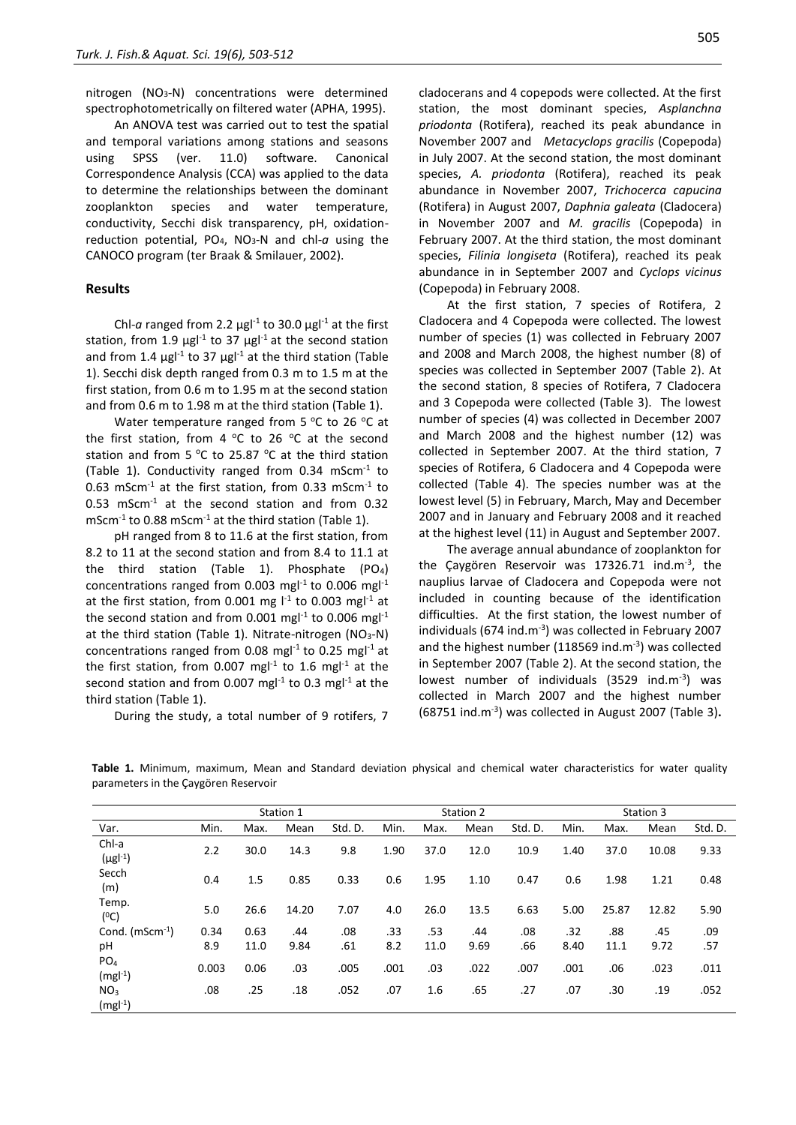nitrogen (NO<sub>3</sub>-N) concentrations were determined spectrophotometrically on filtered water (APHA, 1995).

An ANOVA test was carried out to test the spatial and temporal variations among stations and seasons using SPSS (ver. 11.0) software. Canonical Correspondence Analysis (CCA) was applied to the data to determine the relationships between the dominant zooplankton species and water temperature, conductivity, Secchi disk transparency, pH, oxidationreduction potential, PO4, NO3-N and chl-*a* using the CANOCO program (ter Braak & Smilauer, 2002).

## **Results**

Chl-*a* ranged from 2.2  $\mu$ gl<sup>-1</sup> to 30.0  $\mu$ gl<sup>-1</sup> at the first station, from 1.9  $\mu$ gl<sup>-1</sup> to 37  $\mu$ gl<sup>-1</sup> at the second station and from 1.4  $\mu$ gl<sup>-1</sup> to 37  $\mu$ gl<sup>-1</sup> at the third station (Table 1). Secchi disk depth ranged from 0.3 m to 1.5 m at the first station, from 0.6 m to 1.95 m at the second station and from 0.6 m to 1.98 m at the third station (Table 1).

Water temperature ranged from 5  $^{\circ}$ C to 26  $^{\circ}$ C at the first station, from 4  $^{\circ}$ C to 26  $^{\circ}$ C at the second station and from 5 °C to 25.87 °C at the third station (Table 1). Conductivity ranged from 0.34 mScm $^{-1}$  to 0.63 mScm $^{-1}$  at the first station, from 0.33 mScm $^{-1}$  to 0.53 mScm-1 at the second station and from 0.32  $m$ Scm<sup>-1</sup> to 0.88 mScm<sup>-1</sup> at the third station (Table 1).

pH ranged from 8 to 11.6 at the first station, from 8.2 to 11 at the second station and from 8.4 to 11.1 at the third station (Table 1). Phosphate (PO4) concentrations ranged from 0.003 mg $l^{-1}$  to 0.006 mg $l^{-1}$ at the first station, from 0.001 mg  $I^{-1}$  to 0.003 mg $I^{-1}$  at the second station and from 0.001 mgl<sup>-1</sup> to 0.006 mgl<sup>-1</sup> at the third station (Table 1). Nitrate-nitrogen (NO<sub>3</sub>-N) concentrations ranged from 0.08 mg $l^{-1}$  to 0.25 mg $l^{-1}$  at the first station, from 0.007 mg $I<sup>1</sup>$  to 1.6 mg $I<sup>1</sup>$  at the second station and from 0.007 mgl<sup>-1</sup> to 0.3 mgl<sup>-1</sup> at the third station (Table 1).

During the study, a total number of 9 rotifers, 7

cladocerans and 4 copepods were collected. At the first station, the most dominant species, *Asplanchna priodonta* (Rotifera), reached its peak abundance in November 2007 and *Metacyclops gracilis* (Copepoda) in July 2007. At the second station, the most dominant species, *A. priodonta* (Rotifera), reached its peak abundance in November 2007, *Trichocerca capucina*  (Rotifera) in August 2007, *Daphnia galeata* (Cladocera) in November 2007 and *M. gracilis* (Copepoda) in February 2007. At the third station, the most dominant species, *Filinia longiseta* (Rotifera), reached its peak abundance in in September 2007 and *Cyclops vicinus*  (Copepoda) in February 2008.

At the first station, 7 species of Rotifera, 2 Cladocera and 4 Copepoda were collected. The lowest number of species (1) was collected in February 2007 and 2008 and March 2008, the highest number (8) of species was collected in September 2007 (Table 2). At the second station, 8 species of Rotifera, 7 Cladocera and 3 Copepoda were collected (Table 3). The lowest number of species (4) was collected in December 2007 and March 2008 and the highest number (12) was collected in September 2007. At the third station, 7 species of Rotifera, 6 Cladocera and 4 Copepoda were collected (Table 4). The species number was at the lowest level (5) in February, March, May and December 2007 and in January and February 2008 and it reached at the highest level (11) in August and September 2007.

The average annual abundance of zooplankton for the Çaygören Reservoir was 17326.71 ind.m<sup>-3</sup>, the nauplius larvae of Cladocera and Copepoda were not included in counting because of the identification difficulties. At the first station, the lowest number of individuals (674 ind.m<sup>-3</sup>) was collected in February 2007 and the highest number (118569 ind. $m^{-3}$ ) was collected in September 2007 (Table 2). At the second station, the lowest number of individuals (3529 ind.m<sup>-3</sup>) was collected in March 2007 and the highest number (68751 ind.m-3 ) was collected in August 2007 (Table 3)**.**

**Table 1.** Minimum, maximum, Mean and Standard deviation physical and chemical water characteristics for water quality parameters in the Çaygören Reservoir

|                              |       |      | Station 1 |         |      |      | Station 2 |         | Station 3 |       |       |         |  |
|------------------------------|-------|------|-----------|---------|------|------|-----------|---------|-----------|-------|-------|---------|--|
| Var.                         | Min.  | Max. | Mean      | Std. D. | Min. | Max. | Mean      | Std. D. | Min.      | Max.  | Mean  | Std. D. |  |
| Chl-a<br>$(\mu g l^{-1})$    | 2.2   | 30.0 | 14.3      | 9.8     | 1.90 | 37.0 | 12.0      | 10.9    | 1.40      | 37.0  | 10.08 | 9.33    |  |
| Secch<br>(m)                 | 0.4   | 1.5  | 0.85      | 0.33    | 0.6  | 1.95 | 1.10      | 0.47    | 0.6       | 1.98  | 1.21  | 0.48    |  |
| Temp.<br>(°C)                | 5.0   | 26.6 | 14.20     | 7.07    | 4.0  | 26.0 | 13.5      | 6.63    | 5.00      | 25.87 | 12.82 | 5.90    |  |
| Cond. $(mScm^{-1})$          | 0.34  | 0.63 | .44       | .08     | .33  | .53  | .44       | .08     | .32       | .88   | .45   | .09     |  |
| pH                           | 8.9   | 11.0 | 9.84      | .61     | 8.2  | 11.0 | 9.69      | .66     | 8.40      | 11.1  | 9.72  | .57     |  |
| PO <sub>4</sub><br>$(mgl-1)$ | 0.003 | 0.06 | .03       | .005    | .001 | .03  | .022      | .007    | .001      | .06   | .023  | .011    |  |
| NO <sub>3</sub><br>$(mgl-1)$ | .08   | .25  | .18       | .052    | .07  | 1.6  | .65       | .27     | .07       | .30   | .19   | .052    |  |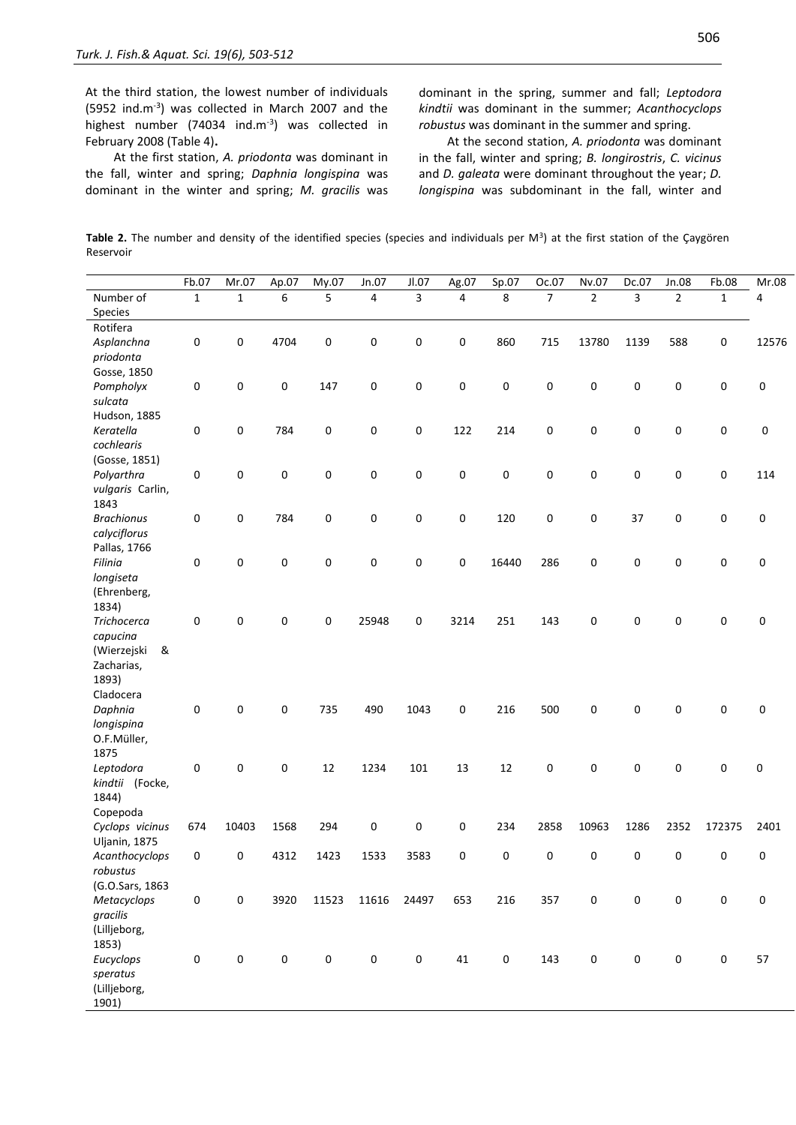At the third station, the lowest number of individuals (5952 ind.m-3 ) was collected in March 2007 and the highest number (74034 ind.m<sup>-3</sup>) was collected in February 2008 (Table 4)**.**

At the first station, *A. priodonta* was dominant in the fall, winter and spring; *Daphnia longispina* was dominant in the winter and spring; *M. gracilis* was

dominant in the spring, summer and fall; *Leptodora kindtii* was dominant in the summer; *Acanthocyclops robustus* was dominant in the summer and spring.

At the second station, *A. priodonta* was dominant in the fall, winter and spring; *B. longirostris*, *C. vicinus* and *D. galeata* were dominant throughout the year; *D. longispina* was subdominant in the fall, winter and

**Table 2.** The number and density of the identified species (species and individuals per M<sup>3</sup> ) at the first station of the Çaygören Reservoir

|                    | Fb.07        | Mr.07        | Ap.07       | My.07               | Jn.07     | Jl.07     | Ag.07          | Sp.07       | Oc.07          | Nv.07          | Dc.07          | Jn.08          | Fb.08               | Mr.08 |
|--------------------|--------------|--------------|-------------|---------------------|-----------|-----------|----------------|-------------|----------------|----------------|----------------|----------------|---------------------|-------|
| Number of          | $\mathbf{1}$ | $\mathbf{1}$ | 6           | 5                   | 4         | 3         | $\overline{4}$ | 8           | $\overline{7}$ | $\overline{2}$ | $\overline{3}$ | $\overline{2}$ | $\mathbf{1}$        | 4     |
| Species            |              |              |             |                     |           |           |                |             |                |                |                |                |                     |       |
| Rotifera           |              |              |             |                     |           |           |                |             |                |                |                |                |                     |       |
| Asplanchna         | $\pmb{0}$    | 0            | 4704        | 0                   | 0         | 0         | 0              | 860         | 715            | 13780          | 1139           | 588            | $\mathsf{O}\xspace$ | 12576 |
| priodonta          |              |              |             |                     |           |           |                |             |                |                |                |                |                     |       |
| Gosse, 1850        |              |              |             |                     |           |           |                |             |                |                |                |                |                     |       |
| Pompholyx          | 0            | 0            | 0           | 147                 | 0         | 0         | 0              | 0           | 0              | 0              | 0              | 0              | 0                   | 0     |
| sulcata            |              |              |             |                     |           |           |                |             |                |                |                |                |                     |       |
| Hudson, 1885       |              |              |             |                     |           |           |                |             |                |                |                |                |                     |       |
| Keratella          | 0            | 0            | 784         | 0                   | 0         | 0         | 122            | 214         | 0              | 0              | 0              | 0              | 0                   | 0     |
| cochlearis         |              |              |             |                     |           |           |                |             |                |                |                |                |                     |       |
| (Gosse, 1851)      |              |              |             |                     |           |           |                |             |                |                |                |                |                     |       |
| Polyarthra         | 0            | 0            | 0           | 0                   | 0         | 0         | 0              | 0           | 0              | 0              | 0              | 0              | 0                   | 114   |
| vulgaris Carlin,   |              |              |             |                     |           |           |                |             |                |                |                |                |                     |       |
| 1843               |              |              |             |                     |           |           |                |             |                |                |                |                |                     |       |
| <b>Brachionus</b>  | 0            | 0            | 784         | 0                   | 0         | 0         | 0              | 120         | 0              | 0              | 37             | 0              | 0                   | 0     |
| calyciflorus       |              |              |             |                     |           |           |                |             |                |                |                |                |                     |       |
| Pallas, 1766       |              |              |             |                     |           |           |                |             |                |                |                |                |                     |       |
| Filinia            | $\mathbf 0$  | 0            | 0           | 0                   | 0         | 0         | 0              | 16440       | 286            | 0              | 0              | 0              | 0                   | 0     |
| longiseta          |              |              |             |                     |           |           |                |             |                |                |                |                |                     |       |
| (Ehrenberg,        |              |              |             |                     |           |           |                |             |                |                |                |                |                     |       |
| 1834)              |              |              |             |                     |           |           |                |             |                |                |                |                |                     |       |
| <b>Trichocerca</b> | $\mathbf 0$  | 0            | 0           | 0                   | 25948     | 0         | 3214           | 251         | 143            | 0              | 0              | 0              | 0                   | 0     |
| capucina           |              |              |             |                     |           |           |                |             |                |                |                |                |                     |       |
| (Wierzejski<br>&   |              |              |             |                     |           |           |                |             |                |                |                |                |                     |       |
| Zacharias,         |              |              |             |                     |           |           |                |             |                |                |                |                |                     |       |
| 1893)              |              |              |             |                     |           |           |                |             |                |                |                |                |                     |       |
| Cladocera          |              |              |             |                     |           |           |                |             |                |                |                |                |                     |       |
| Daphnia            | 0            | 0            | 0           | 735                 | 490       | 1043      | 0              | 216         | 500            | 0              | 0              | 0              | 0                   | 0     |
| longispina         |              |              |             |                     |           |           |                |             |                |                |                |                |                     |       |
| O.F.Müller,        |              |              |             |                     |           |           |                |             |                |                |                |                |                     |       |
| 1875               |              |              |             |                     |           |           |                |             |                |                |                |                |                     |       |
| Leptodora          | 0            | 0            | 0           | 12                  | 1234      | 101       | 13             | 12          | 0              | 0              | 0              | 0              | 0                   | 0     |
| kindtii (Focke,    |              |              |             |                     |           |           |                |             |                |                |                |                |                     |       |
| 1844)              |              |              |             |                     |           |           |                |             |                |                |                |                |                     |       |
| Copepoda           |              |              |             |                     |           |           |                |             |                |                |                |                |                     |       |
| Cyclops vicinus    | 674          | 10403        | 1568        | 294                 | 0         | 0         | 0              | 234         | 2858           | 10963          | 1286           | 2352           | 172375              | 2401  |
| Uljanin, 1875      |              |              |             |                     |           |           |                |             |                |                |                |                |                     |       |
| Acanthocyclops     | 0            | 0            | 4312        | 1423                | 1533      | 3583      | 0              | 0           | 0              | 0              | 0              | 0              | 0                   | 0     |
| robustus           |              |              |             |                     |           |           |                |             |                |                |                |                |                     |       |
| (G.O.Sars, 1863    |              |              |             |                     |           |           |                |             |                |                |                |                |                     |       |
| Metacyclops        | $\pmb{0}$    | 0            | 3920        | 11523               | 11616     | 24497     | 653            | 216         | 357            | 0              | $\pmb{0}$      | 0              | 0                   | 0     |
| gracilis           |              |              |             |                     |           |           |                |             |                |                |                |                |                     |       |
| (Lilljeborg,       |              |              |             |                     |           |           |                |             |                |                |                |                |                     |       |
| 1853)              |              |              |             |                     |           |           |                |             |                |                |                |                |                     |       |
| Eucyclops          | $\mathsf 0$  | $\pmb{0}$    | $\mathbf 0$ | $\mathsf{O}\xspace$ | $\pmb{0}$ | $\pmb{0}$ | $41\,$         | $\mathbf 0$ | 143            | 0              | $\pmb{0}$      | 0              | $\pmb{0}$           | 57    |
| speratus           |              |              |             |                     |           |           |                |             |                |                |                |                |                     |       |
| (Lilljeborg,       |              |              |             |                     |           |           |                |             |                |                |                |                |                     |       |
| 1901)              |              |              |             |                     |           |           |                |             |                |                |                |                |                     |       |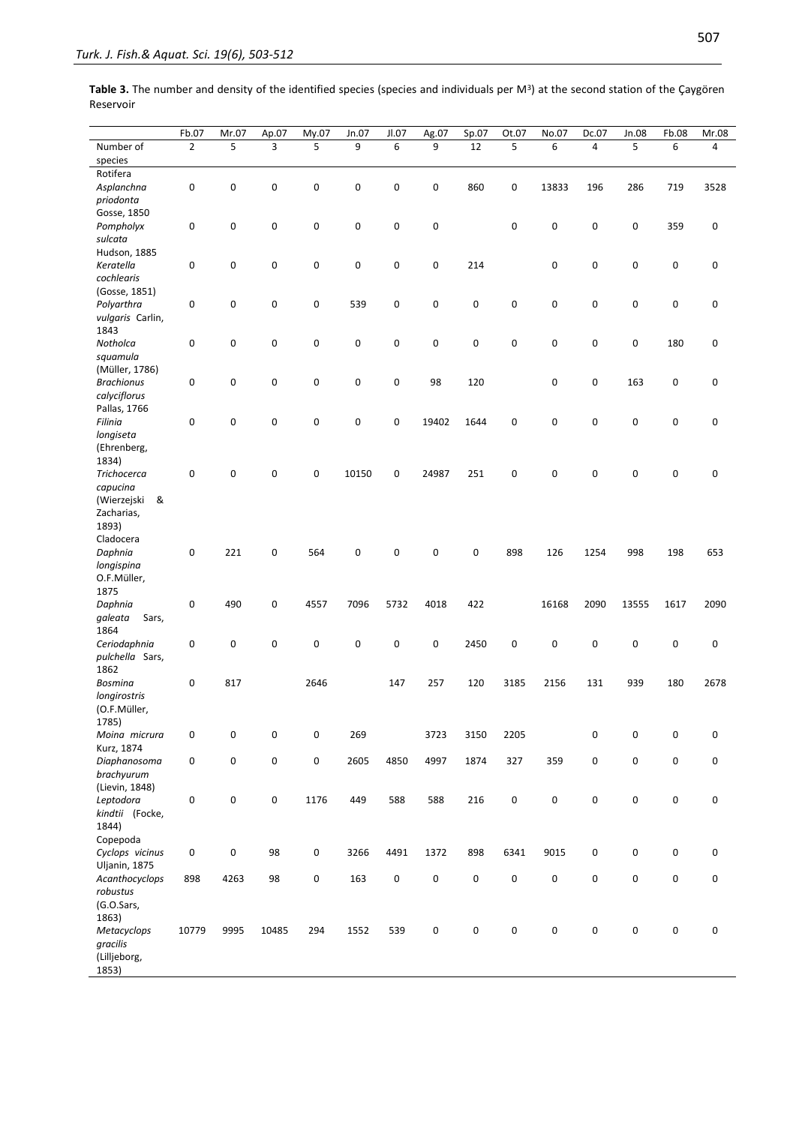| Table 3. The number and density of the identified species (species and individuals per $M^3$ ) at the second station of the Çaygören |  |
|--------------------------------------------------------------------------------------------------------------------------------------|--|
| Reservoir                                                                                                                            |  |

|                   | Fb.07          | Mr.07 | Ap.07               | My.07       | Jn.07     | JL07 | Ag.07 | Sp.07     | Ot.07               | No.07       | Dc.07 | Jn.08     | Fb.08       | Mr.08          |
|-------------------|----------------|-------|---------------------|-------------|-----------|------|-------|-----------|---------------------|-------------|-------|-----------|-------------|----------------|
| Number of         | $\overline{2}$ | 5     | 3                   | 5           | 9         | 6    | 9     | 12        | 5                   | 6           | 4     | 5         | 6           | $\overline{4}$ |
| species           |                |       |                     |             |           |      |       |           |                     |             |       |           |             |                |
| Rotifera          |                |       |                     |             |           |      |       |           |                     |             |       |           |             |                |
| Asplanchna        | 0              | 0     | $\mathbf 0$         | $\pmb{0}$   | 0         | 0    | 0     | 860       | 0                   | 13833       | 196   | 286       | 719         | 3528           |
| priodonta         |                |       |                     |             |           |      |       |           |                     |             |       |           |             |                |
| Gosse, 1850       |                |       |                     |             |           |      |       |           |                     |             |       |           |             |                |
| Pompholyx         | 0              | 0     | $\mathbf 0$         | $\mathbf 0$ | 0         | 0    | 0     |           | 0                   | $\mathbf 0$ | 0     | 0         | 359         | 0              |
| sulcata           |                |       |                     |             |           |      |       |           |                     |             |       |           |             |                |
| Hudson, 1885      |                |       |                     |             |           |      |       |           |                     |             |       |           |             |                |
| Keratella         | 0              | 0     | 0                   | 0           | 0         | 0    | 0     | 214       |                     | $\pmb{0}$   | 0     | 0         | 0           | 0              |
| cochlearis        |                |       |                     |             |           |      |       |           |                     |             |       |           |             |                |
| (Gosse, 1851)     |                |       |                     |             |           |      |       |           |                     |             |       |           |             |                |
| Polyarthra        | 0              | 0     | 0                   | 0           | 539       | 0    | 0     | 0         | 0                   | $\mathbf 0$ | 0     | 0         | $\mathsf 0$ | 0              |
| vulgaris Carlin,  |                |       |                     |             |           |      |       |           |                     |             |       |           |             |                |
| 1843              |                |       |                     |             |           |      |       |           |                     |             |       |           |             |                |
| Notholca          | $\pmb{0}$      | 0     | 0                   | 0           | 0         | 0    | 0     | 0         | 0                   | $\pmb{0}$   | 0     | 0         | 180         | 0              |
| squamula          |                |       |                     |             |           |      |       |           |                     |             |       |           |             |                |
| (Müller, 1786)    |                |       |                     |             |           |      |       |           |                     |             |       |           |             |                |
| <b>Brachionus</b> | 0              | 0     | $\mathbf 0$         | 0           | $\pmb{0}$ | 0    | 98    | 120       |                     | 0           | 0     | 163       | 0           | 0              |
| calyciflorus      |                |       |                     |             |           |      |       |           |                     |             |       |           |             |                |
| Pallas, 1766      |                |       |                     |             |           |      |       |           |                     |             |       |           |             |                |
| Filinia           | $\pmb{0}$      | 0     | 0                   | $\mathbf 0$ | $\pmb{0}$ | 0    | 19402 | 1644      | 0                   | $\mathbf 0$ | 0     | 0         | $\pmb{0}$   | 0              |
| longiseta         |                |       |                     |             |           |      |       |           |                     |             |       |           |             |                |
| (Ehrenberg,       |                |       |                     |             |           |      |       |           |                     |             |       |           |             |                |
| 1834)             |                |       |                     |             |           |      |       |           |                     |             |       |           |             |                |
| Trichocerca       | 0              | 0     | 0                   | 0           | 10150     | 0    | 24987 | 251       | 0                   | $\mathbf 0$ | 0     | 0         | $\pmb{0}$   | 0              |
| capucina          |                |       |                     |             |           |      |       |           |                     |             |       |           |             |                |
| (Wierzejski &     |                |       |                     |             |           |      |       |           |                     |             |       |           |             |                |
| Zacharias,        |                |       |                     |             |           |      |       |           |                     |             |       |           |             |                |
| 1893)             |                |       |                     |             |           |      |       |           |                     |             |       |           |             |                |
| Cladocera         |                |       |                     |             |           |      |       |           |                     |             |       |           |             |                |
| Daphnia           | $\pmb{0}$      | 221   | 0                   | 564         | $\pmb{0}$ | 0    | 0     | 0         | 898                 | 126         | 1254  | 998       | 198         | 653            |
| longispina        |                |       |                     |             |           |      |       |           |                     |             |       |           |             |                |
| O.F.Müller,       |                |       |                     |             |           |      |       |           |                     |             |       |           |             |                |
| 1875              |                |       |                     |             |           |      |       |           |                     |             |       |           |             |                |
| Daphnia           | 0              | 490   | 0                   | 4557        | 7096      | 5732 | 4018  | 422       |                     | 16168       | 2090  | 13555     | 1617        | 2090           |
| galeata<br>Sars,  |                |       |                     |             |           |      |       |           |                     |             |       |           |             |                |
| 1864              |                |       |                     |             |           |      |       |           |                     |             |       |           |             |                |
| Ceriodaphnia      | 0              | 0     | 0                   | 0           | 0         | 0    | 0     | 2450      | 0                   | 0           | 0     | 0         | 0           | 0              |
| pulchella Sars,   |                |       |                     |             |           |      |       |           |                     |             |       |           |             |                |
| 1862              |                |       |                     |             |           |      |       |           |                     |             |       |           |             |                |
| Bosmina           | 0              | 817   |                     | 2646        |           | 147  | 257   | 120       | 3185                | 2156        | 131   | 939       | 180         | 2678           |
| longirostris      |                |       |                     |             |           |      |       |           |                     |             |       |           |             |                |
|                   |                |       |                     |             |           |      |       |           |                     |             |       |           |             |                |
| (O.F.Müller,      |                |       |                     |             |           |      |       |           |                     |             |       |           |             |                |
| 1785)             |                |       |                     |             | 269       |      |       |           | 2205                |             |       |           |             |                |
| Moina micrura     | 0              | 0     | 0                   | 0           |           |      | 3723  | 3150      |                     |             | 0     | 0         | 0           | 0              |
| Kurz, 1874        |                | 0     |                     |             |           |      |       |           |                     |             |       |           | 0           |                |
| Diaphanosoma      | $\mathsf 0$    |       | $\pmb{0}$           | 0           | 2605      | 4850 | 4997  | 1874      | 327                 | 359         | 0     | $\pmb{0}$ |             | 0              |
| brachyurum        |                |       |                     |             |           |      |       |           |                     |             |       |           |             |                |
| (Lievin, 1848)    |                |       |                     |             |           |      |       |           |                     |             |       |           |             |                |
| Leptodora         | $\pmb{0}$      | 0     | $\mathsf{O}\xspace$ | 1176        | 449       | 588  | 588   | 216       | $\pmb{0}$           | $\pmb{0}$   | 0     | $\pmb{0}$ | 0           | $\mathsf 0$    |
| kindtii (Focke,   |                |       |                     |             |           |      |       |           |                     |             |       |           |             |                |
| 1844)             |                |       |                     |             |           |      |       |           |                     |             |       |           |             |                |
| Copepoda          |                |       |                     |             |           |      |       |           |                     |             |       |           |             |                |
| Cyclops vicinus   | 0              | 0     | 98                  | $\pmb{0}$   | 3266      | 4491 | 1372  | 898       | 6341                | 9015        | 0     | $\pmb{0}$ | 0           | 0              |
| Uljanin, 1875     |                |       |                     |             |           |      |       |           |                     |             |       |           |             |                |
| Acanthocyclops    | 898            | 4263  | 98                  | $\pmb{0}$   | 163       | 0    | 0     | 0         | 0                   | $\pmb{0}$   | 0     | 0         | $\pmb{0}$   | $\mathsf 0$    |
| robustus          |                |       |                     |             |           |      |       |           |                     |             |       |           |             |                |
| (G.O.Sars,        |                |       |                     |             |           |      |       |           |                     |             |       |           |             |                |
| 1863)             |                |       |                     |             |           |      |       |           |                     |             |       |           |             |                |
| Metacyclops       | 10779          | 9995  | 10485               | 294         | 1552      | 539  | 0     | $\pmb{0}$ | $\mathsf{O}\xspace$ | $\pmb{0}$   | 0     | 0         | $\pmb{0}$   | $\mathsf 0$    |
| gracilis          |                |       |                     |             |           |      |       |           |                     |             |       |           |             |                |
| (Lilljeborg,      |                |       |                     |             |           |      |       |           |                     |             |       |           |             |                |
| 1853)             |                |       |                     |             |           |      |       |           |                     |             |       |           |             |                |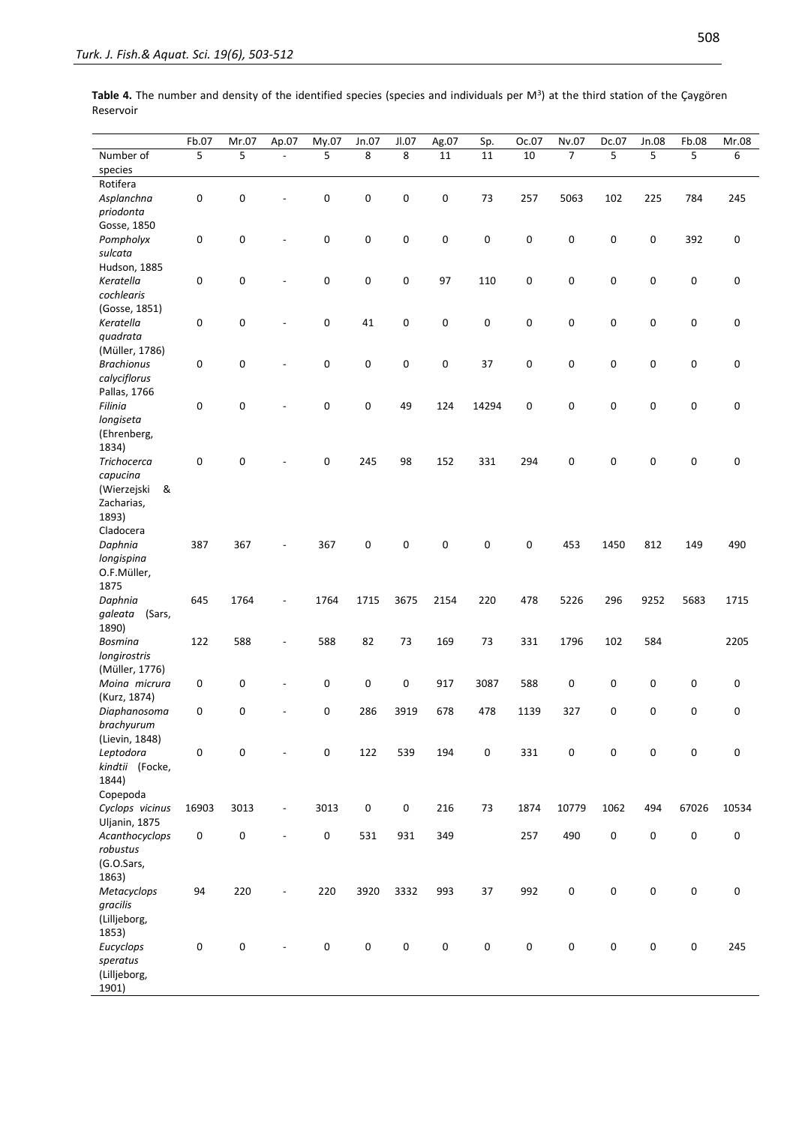|                                | Fb.07       | Mr.07 | Ap.07                    | My.07     | Jn.07       | JL07      | Ag.07       | Sp.         | Oc.07     | Nv.07          | Dc.07     | Jn.08 | Fb.08     | Mr.08     |
|--------------------------------|-------------|-------|--------------------------|-----------|-------------|-----------|-------------|-------------|-----------|----------------|-----------|-------|-----------|-----------|
| Number of                      | 5           | 5     | $\overline{a}$           | 5         | 8           | 8         | 11          | 11          | 10        | $\overline{7}$ | 5         | 5     | 5         | 6         |
| species                        |             |       |                          |           |             |           |             |             |           |                |           |       |           |           |
| Rotifera                       |             |       |                          |           |             |           |             |             |           |                |           |       |           |           |
| Asplanchna                     | 0           | 0     |                          | 0         | 0           | 0         | 0           | 73          | 257       | 5063           | 102       | 225   | 784       | 245       |
| priodonta                      |             |       |                          |           |             |           |             |             |           |                |           |       |           |           |
| Gosse, 1850                    |             |       |                          |           |             |           |             |             |           |                |           |       |           |           |
| Pompholyx                      | 0           | 0     | $\overline{a}$           | 0         | $\mathsf 0$ | 0         | 0           | 0           | 0         | 0              | 0         | 0     | 392       | 0         |
| sulcata                        |             |       |                          |           |             |           |             |             |           |                |           |       |           |           |
| Hudson, 1885                   |             |       |                          |           |             |           |             |             |           |                |           |       |           |           |
| Keratella                      | 0           | 0     | $\overline{a}$           | 0         | 0           | 0         | 97          | 110         | 0         | 0              | 0         | 0     | 0         | 0         |
| cochlearis                     |             |       |                          |           |             |           |             |             |           |                |           |       |           |           |
| (Gosse, 1851)                  |             |       |                          |           |             |           |             |             |           |                |           |       |           |           |
| Keratella                      | 0           | 0     |                          | 0         | 41          | 0         | 0           | 0           | 0         | 0              | 0         | 0     | 0         | 0         |
| quadrata                       |             |       |                          |           |             |           |             |             |           |                |           |       |           |           |
| (Müller, 1786)                 |             |       |                          |           |             |           |             |             |           |                |           |       |           |           |
| <b>Brachionus</b>              | 0           | 0     |                          | 0         | $\mathsf 0$ | 0         | 0           | 37          | 0         | 0              | 0         | 0     | 0         | 0         |
| calyciflorus                   |             |       |                          |           |             |           |             |             |           |                |           |       |           |           |
| Pallas, 1766                   |             |       |                          |           |             |           |             |             |           |                |           |       |           |           |
| Filinia                        | 0           | 0     |                          | 0         | 0           | 49        | 124         | 14294       | 0         | 0              | 0         | 0     | 0         | 0         |
| longiseta                      |             |       |                          |           |             |           |             |             |           |                |           |       |           |           |
| (Ehrenberg,                    |             |       |                          |           |             |           |             |             |           |                |           |       |           |           |
| 1834)                          |             |       |                          |           |             |           |             |             |           |                |           |       |           |           |
| <b>Trichocerca</b>             | 0           | 0     |                          | 0         | 245         | 98        | 152         | 331         | 294       | 0              | 0         | 0     | 0         | 0         |
| capucina                       |             |       |                          |           |             |           |             |             |           |                |           |       |           |           |
| (Wierzejski<br>&               |             |       |                          |           |             |           |             |             |           |                |           |       |           |           |
| Zacharias,                     |             |       |                          |           |             |           |             |             |           |                |           |       |           |           |
| 1893)                          |             |       |                          |           |             |           |             |             |           |                |           |       |           |           |
| Cladocera                      |             |       |                          |           |             |           |             |             |           |                |           |       |           |           |
| Daphnia                        | 387         | 367   |                          | 367       | $\pmb{0}$   | 0         | 0           | 0           | 0         | 453            | 1450      | 812   | 149       | 490       |
| longispina                     |             |       |                          |           |             |           |             |             |           |                |           |       |           |           |
| O.F.Müller,                    |             |       |                          |           |             |           |             |             |           |                |           |       |           |           |
| 1875                           |             |       |                          |           |             |           |             |             |           |                |           |       |           |           |
| Daphnia                        | 645         | 1764  | $\overline{a}$           | 1764      | 1715        | 3675      | 2154        | 220         | 478       | 5226           | 296       | 9252  | 5683      | 1715      |
| galeata<br>(Sars,              |             |       |                          |           |             |           |             |             |           |                |           |       |           |           |
| 1890)                          |             |       |                          |           |             |           |             |             |           |                |           |       |           |           |
| Bosmina                        | 122         | 588   |                          | 588       | 82          | 73        | 169         | 73          | 331       | 1796           | 102       | 584   |           | 2205      |
| longirostris<br>(Müller, 1776) |             |       |                          |           |             |           |             |             |           |                |           |       |           |           |
| Moina micrura                  | $\mathsf 0$ | 0     |                          | 0         | $\mathsf 0$ | 0         | 917         | 3087        | 588       | 0              | 0         | 0     | 0         | 0         |
| (Kurz, 1874)                   |             |       |                          |           |             |           |             |             |           |                |           |       |           |           |
| Diaphanosoma                   | 0           | 0     |                          | 0         | 286         | 3919      | 678         | 478         | 1139      | 327            | 0         | 0     | 0         | 0         |
| brachyurum                     |             |       |                          |           |             |           |             |             |           |                |           |       |           |           |
| (Lievin, 1848)                 |             |       |                          |           |             |           |             |             |           |                |           |       |           |           |
| Leptodora                      | 0           | 0     | -                        | 0         | 122         | 539       | 194         | $\mathsf 0$ | 331       | $\mathbf 0$    | 0         | 0     | 0         | $\pmb{0}$ |
| kindtii (Focke,                |             |       |                          |           |             |           |             |             |           |                |           |       |           |           |
| 1844)                          |             |       |                          |           |             |           |             |             |           |                |           |       |           |           |
| Copepoda                       |             |       |                          |           |             |           |             |             |           |                |           |       |           |           |
| Cyclops vicinus                | 16903       | 3013  | $\overline{\phantom{a}}$ | 3013      | $\pmb{0}$   | $\pmb{0}$ | 216         | 73          | 1874      | 10779          | 1062      | 494   | 67026     | 10534     |
| Uljanin, 1875                  |             |       |                          |           |             |           |             |             |           |                |           |       |           |           |
| Acanthocyclops                 | $\pmb{0}$   | 0     | $\overline{a}$           | $\pmb{0}$ | 531         | 931       | 349         |             | 257       | 490            | $\pmb{0}$ | 0     | 0         | $\pmb{0}$ |
| robustus                       |             |       |                          |           |             |           |             |             |           |                |           |       |           |           |
| (G.O.Sars,                     |             |       |                          |           |             |           |             |             |           |                |           |       |           |           |
| 1863)                          |             |       |                          |           |             |           |             |             |           |                |           |       |           |           |
| Metacyclops                    | 94          | 220   |                          | 220       | 3920        | 3332      | 993         | 37          | 992       | $\pmb{0}$      | 0         | 0     | 0         | $\pmb{0}$ |
| gracilis                       |             |       |                          |           |             |           |             |             |           |                |           |       |           |           |
| (Lilljeborg,                   |             |       |                          |           |             |           |             |             |           |                |           |       |           |           |
| 1853)                          |             |       |                          |           |             |           |             |             |           |                |           |       |           |           |
| Eucyclops                      | $\pmb{0}$   | 0     | $\overline{\phantom{a}}$ | $\pmb{0}$ | $\pmb{0}$   | 0         | $\mathbf 0$ | $\pmb{0}$   | $\pmb{0}$ | $\pmb{0}$      | 0         | 0     | $\pmb{0}$ | 245       |
| speratus                       |             |       |                          |           |             |           |             |             |           |                |           |       |           |           |
| (Lilljeborg,                   |             |       |                          |           |             |           |             |             |           |                |           |       |           |           |
| 1901)                          |             |       |                          |           |             |           |             |             |           |                |           |       |           |           |

Table 4. The number and density of the identified species (species and individuals per M<sup>3</sup>) at the third station of the Çaygören Reservoir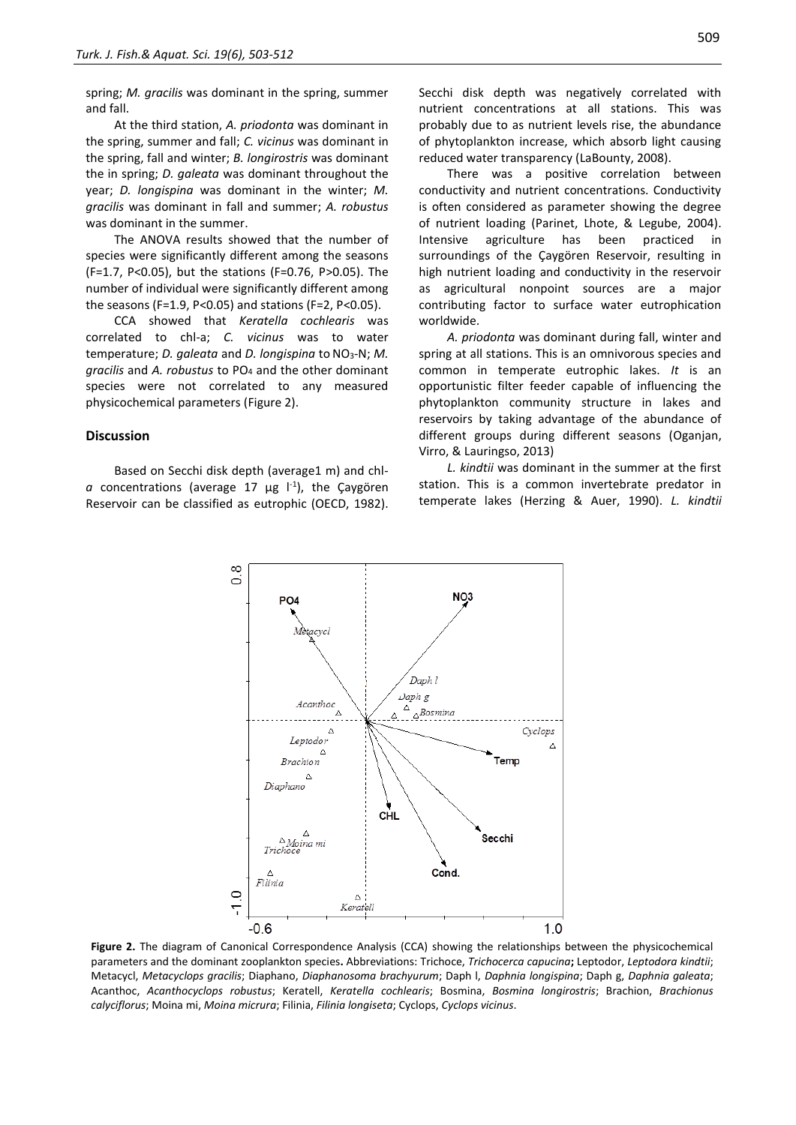spring; *M. gracilis* was dominant in the spring, summer and fall.

At the third station, *A. priodonta* was dominant in the spring, summer and fall; *C. vicinus* was dominant in the spring, fall and winter; *B. longirostris* was dominant the in spring; *D. galeata* was dominant throughout the year; *D. longispina* was dominant in the winter; *M. gracilis* was dominant in fall and summer; *A. robustus*  was dominant in the summer.

The ANOVA results showed that the number of species were significantly different among the seasons (F=1.7, P<0.05), but the stations (F=0.76, P>0.05). The number of individual were significantly different among the seasons (F=1.9, P<0.05) and stations (F=2, P<0.05).

CCA showed that *Keratella cochlearis* was correlated to chl-a; *C. vicinus* was to water temperature; *D. galeata* and *D. longispina* to NO<sub>3</sub>-N; *M. gracilis* and *A. robustus* to PO<sup>4</sup> and the other dominant species were not correlated to any measured physicochemical parameters (Figure 2).

#### **Discussion**

Based on Secchi disk depth (average1 m) and chla concentrations (average 17 μg l<sup>-1</sup>), the Çaygören Reservoir can be classified as eutrophic (OECD, 1982).

Secchi disk depth was negatively correlated with nutrient concentrations at all stations. This was probably due to as nutrient levels rise, the abundance of phytoplankton increase, which absorb light causing reduced water transparency (LaBounty, 2008).

There was a positive correlation between conductivity and nutrient concentrations. Conductivity is often considered as parameter showing the degree of nutrient loading (Parinet, Lhote, & Legube, 2004). Intensive agriculture has been practiced surroundings of the Çaygören Reservoir, resulting in high nutrient loading and conductivity in the reservoir as agricultural nonpoint sources are a major contributing factor to surface water eutrophication worldwide.

*A. priodonta* was dominant during fall, winter and spring at all stations. This is an omnivorous species and common in temperate eutrophic lakes. *It* is an opportunistic filter feeder capable of influencing the phytoplankton community structure in lakes and reservoirs by taking advantage of the abundance of different groups during different seasons (Oganjan, Virro, & Lauringso, 2013)

*L. kindtii* was dominant in the summer at the first station. This is a common invertebrate predator in temperate lakes (Herzing & Auer, 1990). *L. kindtii* 



**Figure 2.** The diagram of Canonical Correspondence Analysis (CCA) showing the relationships between the physicochemical parameters and the dominant zooplankton species**.** Abbreviations: Trichoce, *Trichocerca capucina***;** Leptodor, *Leptodora kindtii*; Metacycl, *Metacyclops gracilis*; Diaphano, *Diaphanosoma brachyurum*; Daph l, *Daphnia longispina*; Daph g, *Daphnia galeata*; Acanthoc, *Acanthocyclops robustus*; Keratell, *Keratella cochlearis*; Bosmina, *Bosmina longirostris*; Brachion, *Brachionus calyciflorus*; Moina mi, *Moina micrura*; Filinia, *Filinia longiseta*; Cyclops, *Cyclops vicinus*.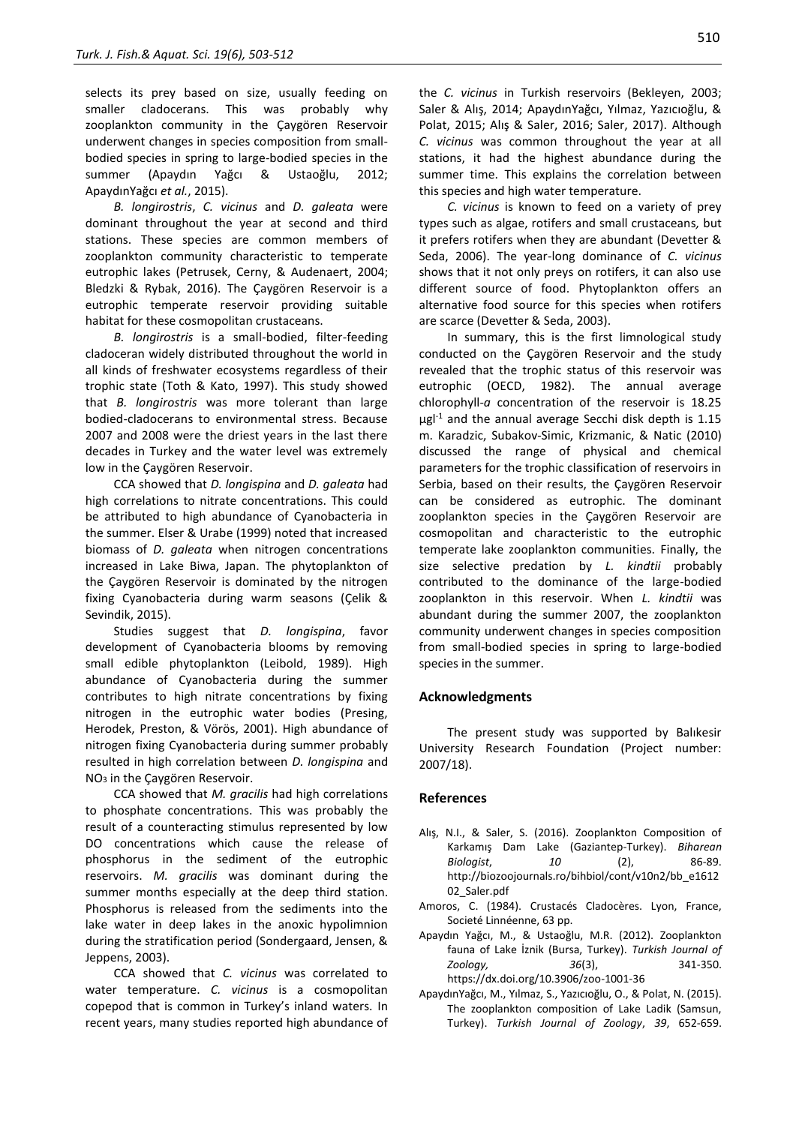selects its prey based on size, usually feeding on smaller cladocerans. This was probably why zooplankton community in the Çaygören Reservoir underwent changes in species composition from smallbodied species in spring to large-bodied species in the summer (Apaydın Yağcı & Ustaoğlu, 2012; ApaydınYağcı *et al.*, 2015).

*B. longirostris*, *C. vicinus* and *D. galeata* were dominant throughout the year at second and third stations. These species are common members of zooplankton community characteristic to temperate eutrophic lakes (Petrusek, Cerny, & Audenaert, 2004; Bledzki & Rybak, 2016). The Çaygören Reservoir is a eutrophic temperate reservoir providing suitable habitat for these cosmopolitan crustaceans.

*B. longirostris* is a small-bodied, filter-feeding cladoceran widely distributed throughout the world in all kinds of freshwater ecosystems regardless of their trophic state (Toth & Kato, 1997). This study showed that *B. longirostris* was more tolerant than large bodied-cladocerans to environmental stress. Because 2007 and 2008 were the driest years in the last there decades in Turkey and the water level was extremely low in the Çaygören Reservoir.

CCA showed that *D. longispina* and *D. galeata* had high correlations to nitrate concentrations. This could be attributed to high abundance of Cyanobacteria in the summer. Elser & Urabe (1999) noted that increased biomass of *D. galeata* when nitrogen concentrations increased in Lake Biwa, Japan. The phytoplankton of the Çaygören Reservoir is dominated by the nitrogen fixing Cyanobacteria during warm seasons (Çelik & Sevindik, 2015).

Studies suggest that *D. longispina*, favor development of Cyanobacteria blooms by removing small edible phytoplankton (Leibold, 1989). High abundance of Cyanobacteria during the summer contributes to high nitrate concentrations by fixing nitrogen in the eutrophic water bodies (Presing, Herodek, Preston, & Vörös, 2001). High abundance of nitrogen fixing Cyanobacteria during summer probably resulted in high correlation between *D. longispina* and NO<sup>3</sup> in the Çaygören Reservoir.

CCA showed that *M. gracilis* had high correlations to phosphate concentrations. This was probably the result of a counteracting stimulus represented by low DO concentrations which cause the release of phosphorus in the sediment of the eutrophic reservoirs. *M. gracilis* was dominant during the summer months especially at the deep third station. Phosphorus is released from the sediments into the lake water in deep lakes in the anoxic hypolimnion during the stratification period (Sondergaard, Jensen, & Jeppens, 2003).

CCA showed that *C. vicinus* was correlated to water temperature. *C. vicinus* is a cosmopolitan copepod that is common in Turkey's inland waters. In recent years, many studies reported high abundance of the *C. vicinus* in Turkish reservoirs (Bekleyen, 2003; Saler & Alış, 2014; ApaydınYağcı, Yılmaz, Yazıcıoğlu, & Polat, 2015; Alış & Saler, 2016; Saler, 2017). Although *C. vicinus* was common throughout the year at all stations, it had the highest abundance during the summer time. This explains the correlation between this species and high water temperature.

*C. vicinus* is known to feed on a variety of prey types such as algae, rotifers and small crustaceans*,* but it prefers rotifers when they are abundant (Devetter & Seda, 2006). The year-long dominance of *C. vicinus*  shows that it not only preys on rotifers, it can also use different source of food. Phytoplankton offers an alternative food source for this species when rotifers are scarce (Devetter & Seda, 2003).

In summary, this is the first limnological study conducted on the Çaygören Reservoir and the study revealed that the trophic status of this reservoir was eutrophic (OECD, 1982). The annual average chlorophyll-*a* concentration of the reservoir is 18.25  $\mu$ gl<sup>-1</sup> and the annual average Secchi disk depth is 1.15 m. Karadzic, Subakov-Simic, Krizmanic, & Natic (2010) discussed the range of physical and chemical parameters for the trophic classification of reservoirs in Serbia, based on their results, the Çaygören Reservoir can be considered as eutrophic. The dominant zooplankton species in the Çaygören Reservoir are cosmopolitan and characteristic to the eutrophic temperate lake zooplankton communities. Finally, the size selective predation by *L. kindtii* probably contributed to the dominance of the large-bodied zooplankton in this reservoir. When *L. kindtii* was abundant during the summer 2007, the zooplankton community underwent changes in species composition from small-bodied species in spring to large-bodied species in the summer.

#### **Acknowledgments**

The present study was supported by Balıkesir University Research Foundation (Project number: 2007/18).

#### **References**

- Alış, N.I., & Saler, S. (2016). Zooplankton Composition of Karkamış Dam Lake (Gaziantep-Turkey). *Biharean Biologist*, *10* (2), 86-89. [http://biozoojournals.ro/bihbiol/cont/v10n2/bb\\_e1612](http://biozoojournals.ro/bihbiol/cont/v10n2/bb_e161202_Saler.pdf) [02\\_Saler.pdf](http://biozoojournals.ro/bihbiol/cont/v10n2/bb_e161202_Saler.pdf)
- Amoros, C. (1984). Crustacés Cladocères. Lyon, France, Societé Linnéenne, 63 pp.
- Apaydın Yağcı, M., & Ustaoğlu, M.R. (2012). Zooplankton fauna of Lake İznik (Bursa, Turkey). *Turkish Journal of Zoology, 36*(3), 341-350. https://dx.doi.org/10.3906/zoo-1001-36
- ApaydınYağcı, M., Yılmaz, S., Yazıcıoğlu, O., & Polat, N. (2015). The zooplankton composition of Lake Ladik (Samsun, Turkey). *Turkish Journal of Zoology*, *39*, 652-659.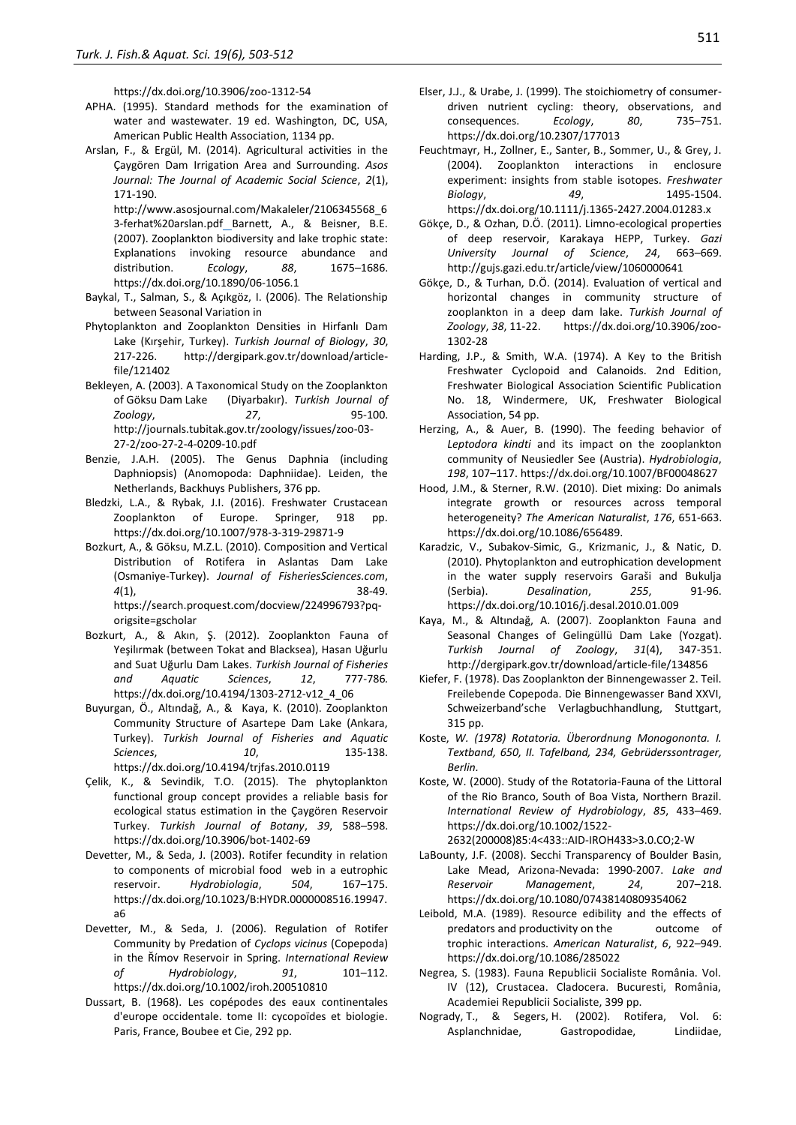https://dx.doi.org/10.3906/zoo-1312-54

- APHA. (1995). Standard methods for the examination of water and wastewater. 19 ed. Washington, DC, USA, American Public Health Association, 1134 pp.
- Arslan, F., & Ergül, M. (2014). Agricultural activities in the Çaygören Dam Irrigation Area and Surrounding. *Asos Journal: The Journal of Academic Social Science*, *2*(1), 171-190.

[http://www.asosjournal.com/Makaleler/2106345568\\_6](http://www.asosjournal.com/Makaleler/2106345568_63-ferhat%20arslan.pdf) [3-ferhat%20arslan.pdf](http://www.asosjournal.com/Makaleler/2106345568_63-ferhat%20arslan.pdf)\_Barnett, A., & Beisner, B.E. (2007). Zooplankton biodiversity and lake trophic state: Explanations invoking resource abundance and distribution. *Ecology*, *88*, 1675–1686[.](https://dx.DOI:10.1890/06-1056.1)  [https://dx.doi.org/10.1890/06-1056.1](https://dx.DOI:10.1890/06-1056.1)

- Baykal, T., Salman, S., & Açıkgöz, I. (2006). The Relationship between Seasonal Variation in
- Phytoplankton and Zooplankton Densities in Hirfanlı Dam Lake (Kırşehir, Turkey). *Turkish Journal of Biology*, *30*, 217-226. [http://dergipark.gov.tr/download/article](http://dergipark.gov.tr/download/article-file/121402)[file/121402](http://dergipark.gov.tr/download/article-file/121402)
- Bekleyen, A. (2003). A Taxonomical Study on the Zooplankton of Göksu Dam Lake (Diyarbakır). *Turkish Journal of Zoology*, *27*, 95-100. [http://journals.tubitak.gov.tr/zoology/issues/zoo-03-](http://journals.tubitak.gov.tr/zoology/issues/zoo-03-27-2/zoo-27-2-4-0209-10.pdf) [27-2/zoo-27-2-4-0209-10.pdf](http://journals.tubitak.gov.tr/zoology/issues/zoo-03-27-2/zoo-27-2-4-0209-10.pdf)
- Benzie, J.A.H. (2005). The Genus Daphnia (including Daphniopsis) (Anomopoda: Daphniidae). Leiden, the Netherlands, Backhuys Publishers, 376 pp.
- Bledzki, L.A., & Rybak, J.I. (2016). Freshwater Crustacean Zooplankton of Europe. Springer, 918 pp. https://dx.doi.org/10.1007/978-3-319-29871-9
- Bozkurt, A., & Göksu, M.Z.L. (2010). Composition and Vertical Distribution of Rotifera in Aslantas Dam Lake (Osmaniye-Turkey). *Journal of FisheriesSciences.com*, *4*(1), 38-49. [https://search.proquest.com/docview/224996793?pq](https://search.proquest.com/docview/224996793?pq-origsite=gscholar)[origsite=gscholar](https://search.proquest.com/docview/224996793?pq-origsite=gscholar)
- Bozkurt, A., & Akın, Ş. (2012). Zooplankton Fauna of Yeşilırmak (between Tokat and Blacksea), Hasan Uğurlu and Suat Uğurlu Dam Lakes. *Turkish Journal of Fisheries and Aquatic Sciences*, *12*, 777-786*.*  https://dx.doi.org/10.4194/1303-2712-v12\_4\_06
- Buyurgan, Ö., Altındağ, A., & Kaya, K. (2010). Zooplankton Community Structure of Asartepe Dam Lake (Ankara, Turkey). *Turkish Journal of Fisheries and Aquatic Sciences*, *10*, 135-138. https://dx.doi.org/10.4194/trjfas.2010.0119
- Çelik, K., & Sevindik, T.O. (2015). The phytoplankton functional group concept provides a reliable basis for ecological status estimation in the Çaygören Reservoir Turkey. *Turkish Journal of Botany*, *39*, 588–598. https://dx.doi.org/10.3906/bot-1402-69
- Devetter, M., & Seda, J. (2003). Rotifer fecundity in relation to components of microbial food web in a eutrophic reservoir. *Hydrobiologia*, *504*, 167–175. https://dx.doi.org/10.1023/B:HYDR.0000008516.19947. a6
- Devetter, M., & Seda, J. (2006). Regulation of Rotifer Community by Predation of *Cyclops vicinus* (Copepoda) in the Římov Reservoir in Spring. *International Review of Hydrobiology*, *91*, 101–112. https://dx.doi.org/10.1002/iroh.200510810
- Dussart, B. (1968). Les copépodes des eaux continentales d'europe occidentale. tome II: cycopoïdes et biologie. Paris, France, Boubee et Cie, 292 pp.
- Elser, J.J., & Urabe, J. (1999). The stoichiometry of consumerdriven nutrient cycling: theory, observations, and consequences. *Ecology*, *80*, 735–751. <https://dx.doi.org/10.2307/177013>
- Feuchtmayr, H., Zollner, E., Santer, B., Sommer, U., & Grey, J. (2004). Zooplankton interactions in enclosure experiment: insights from stable isotopes. *Freshwater Biology*, *49*, 1495-1504. https://dx.doi.org/10.1111/j.1365-2427.2004.01283.x
- Gökçe, D., & Ozhan, D.Ö. (2011). Limno-ecological properties of deep reservoir, Karakaya HEPP, Turkey. *Gazi University Journal of Science*, *24*, 663–669. <http://gujs.gazi.edu.tr/article/view/1060000641>
- Gökçe, D., & Turhan, D.Ö. (2014). Evaluation of vertical and horizontal changes in community structure of zooplankton in a deep dam lake. *Turkish Journal of Zoology*, *38*, 11-22. https://dx.doi.org/10.3906/zoo-1302-28
- Harding, J.P., & Smith, W.A. (1974). A Key to the British Freshwater Cyclopoid and Calanoids. 2nd Edition, Freshwater Biological Association Scientific Publication No. 18, Windermere, UK, Freshwater Biological Association, 54 pp.
- Herzing, A., & Auer, B. (1990). The feeding behavior of *Leptodora kindti* and its impact on the zooplankton community of Neusiedler See (Austria). *[Hydrobiologia](https://link.springer.com/journal/10750)*, *198*, 107–117. https://dx.doi.org/10.1007/BF00048627
- Hood, J.M., & Sterner, R.W. (2010). Diet mixing: Do animals integrate growth or resources across temporal heterogeneity? *The American Naturalist*, *176*, 651-663. https://dx.doi.org/10.1086/656489.
- Karadzic, V., Subakov-Simic, G., Krizmanic, J., & Natic, D. (2010). Phytoplankton and eutrophication development in the water supply reservoirs Garaši and Bukulja (Serbia). *Desalination*, *255*, 91-96. https://dx.doi.org/10.1016/j.desal.2010.01.009
- Kaya, M., & Altındağ, A. (2007). Zooplankton Fauna and Seasonal Changes of Gelingüllü Dam Lake (Yozgat). *Turkish Journal of Zoology*, *31*(4), 347-351. <http://dergipark.gov.tr/download/article-file/134856>
- Kiefer, F. (1978). Das Zooplankton der Binnengewasser 2. Teil. Freilebende Copepoda. Die Binnengewasser Band XXVI, Schweizerband'sche Verlagbuchhandlung, Stuttgart, 315 pp.
- Koste, *W. (1978) Rotatoria. Überordnung Monogononta. I. Textband, 650, II. Tafelband, 234, Gebrüderssontrager, Berlin.*
- Koste, W. (2000). Study of the Rotatoria-Fauna of the Littoral of the Rio Branco, South of Boa Vista, Northern Brazil. *International Review of Hydrobiology*, *85*, 433–469. [https://dx.doi.org/10.1002/1522-](https://dx.doi.org/10.1002/1522-2632(200008)85:4%3c433::AID-IROH433%3e3.0.CO;2-W)
	- [2632\(200008\)85:4<433::AID-IROH433>3.0.CO;2-W](https://dx.doi.org/10.1002/1522-2632(200008)85:4%3c433::AID-IROH433%3e3.0.CO;2-W)
- LaBounty, J.F. (2008). Secchi Transparency of Boulder Basin, Lake Mead, Arizona-Nevada: 1990-2007. *Lake and Reservoir Management*, *24*, 207–218. https://dx.doi.org/10.1080/07438140809354062
- Leibold, M.A. (1989). Resource edibility and the effects of predators and productivity on the outcome of trophic interactions. *American Naturalist*, *6*, 922–949. https://dx.doi.org/10.1086/285022
- Negrea, S. (1983). Fauna Republicii Socialiste România. Vol. IV (12), Crustacea. Cladocera. Bucuresti, România, Academiei Republicii Socialiste, 399 pp.
- Nogrady, T., & Segers, H. (2002). Rotifera, Vol. 6: Asplanchnidae, Gastropodidae, Lindiidae,